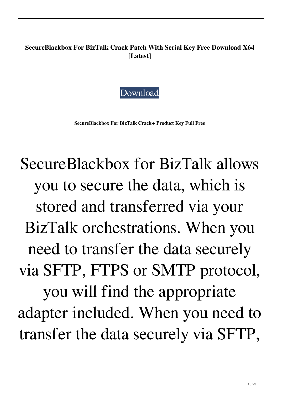**SecureBlackbox For BizTalk Crack Patch With Serial Key Free Download X64 [Latest]**



**SecureBlackbox For BizTalk Crack+ Product Key Full Free**

SecureBlackbox for BizTalk allows you to secure the data, which is stored and transferred via your BizTalk orchestrations. When you need to transfer the data securely via SFTP, FTPS or SMTP protocol, you will find the appropriate adapter included. When you need to transfer the data securely via SFTP,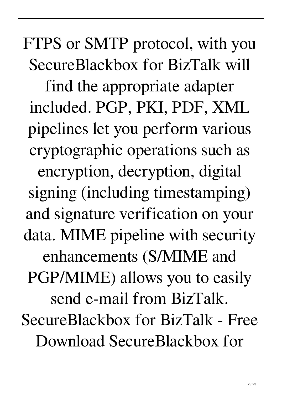FTPS or SMTP protocol, with you SecureBlackbox for BizTalk will find the appropriate adapter included. PGP, PKI, PDF, XML pipelines let you perform various cryptographic operations such as encryption, decryption, digital signing (including timestamping) and signature verification on your data. MIME pipeline with security enhancements (S/MIME and PGP/MIME) allows you to easily send e-mail from BizTalk. SecureBlackbox for BizTalk - Free Download SecureBlackbox for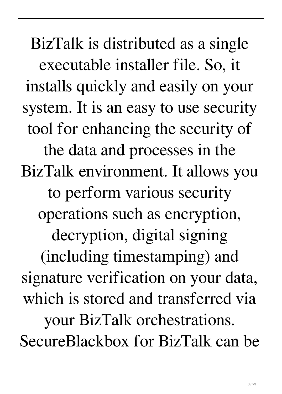BizTalk is distributed as a single executable installer file. So, it installs quickly and easily on your system. It is an easy to use security tool for enhancing the security of the data and processes in the BizTalk environment. It allows you to perform various security operations such as encryption, decryption, digital signing (including timestamping) and signature verification on your data, which is stored and transferred via your BizTalk orchestrations. SecureBlackbox for BizTalk can be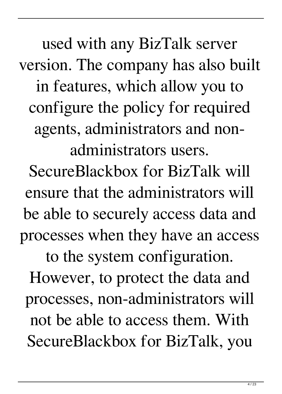used with any BizTalk server version. The company has also built in features, which allow you to configure the policy for required agents, administrators and nonadministrators users.

SecureBlackbox for BizTalk will ensure that the administrators will be able to securely access data and processes when they have an access to the system configuration.

However, to protect the data and processes, non-administrators will not be able to access them. With SecureBlackbox for BizTalk, you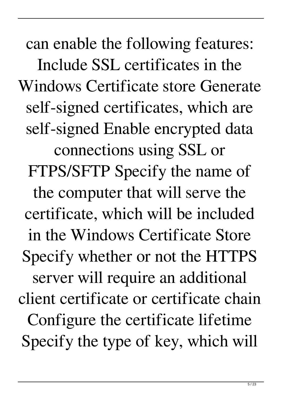can enable the following features: Include SSL certificates in the Windows Certificate store Generate self-signed certificates, which are self-signed Enable encrypted data connections using SSL or FTPS/SFTP Specify the name of the computer that will serve the certificate, which will be included in the Windows Certificate Store Specify whether or not the HTTPS server will require an additional client certificate or certificate chain Configure the certificate lifetime Specify the type of key, which will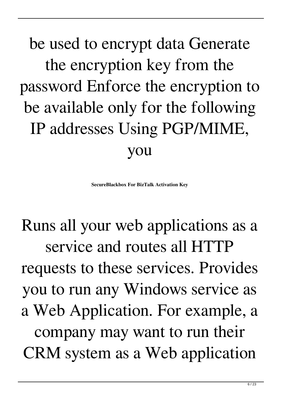be used to encrypt data Generate the encryption key from the password Enforce the encryption to be available only for the following IP addresses Using PGP/MIME, you

**SecureBlackbox For BizTalk Activation Key**

Runs all your web applications as a service and routes all HTTP requests to these services. Provides you to run any Windows service as a Web Application. For example, a company may want to run their CRM system as a Web application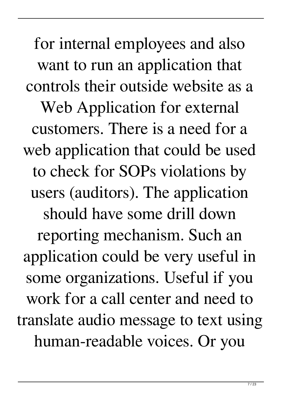for internal employees and also want to run an application that controls their outside website as a Web Application for external customers. There is a need for a web application that could be used to check for SOPs violations by users (auditors). The application should have some drill down reporting mechanism. Such an application could be very useful in some organizations. Useful if you work for a call center and need to translate audio message to text using human-readable voices. Or you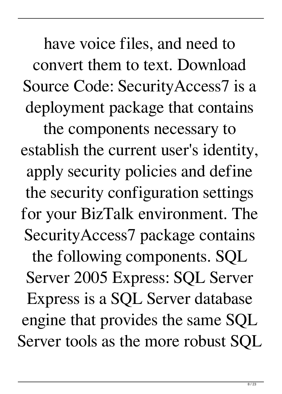have voice files, and need to convert them to text. Download Source Code: SecurityAccess7 is a deployment package that contains

the components necessary to establish the current user's identity, apply security policies and define the security configuration settings for your BizTalk environment. The SecurityAccess7 package contains the following components. SQL Server 2005 Express: SQL Server Express is a SQL Server database engine that provides the same SQL Server tools as the more robust SQL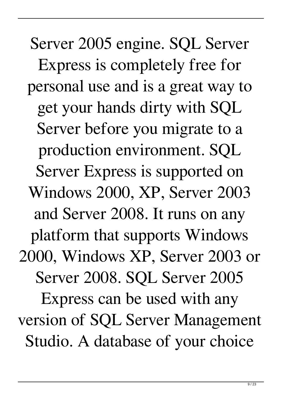Server 2005 engine. SQL Server Express is completely free for personal use and is a great way to get your hands dirty with SQL Server before you migrate to a production environment. SQL Server Express is supported on Windows 2000, XP, Server 2003 and Server 2008. It runs on any platform that supports Windows 2000, Windows XP, Server 2003 or Server 2008. SQL Server 2005 Express can be used with any version of SQL Server Management Studio. A database of your choice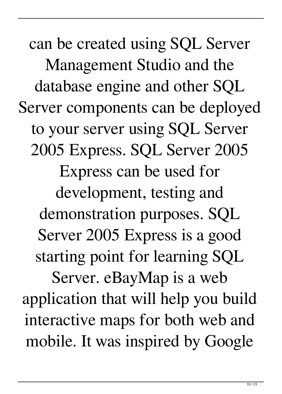can be created using SQL Server Management Studio and the database engine and other SQL Server components can be deployed to your server using SQL Server 2005 Express. SQL Server 2005 Express can be used for development, testing and demonstration purposes. SQL Server 2005 Express is a good starting point for learning SQL Server. eBayMap is a web application that will help you build interactive maps for both web and mobile. It was inspired by Google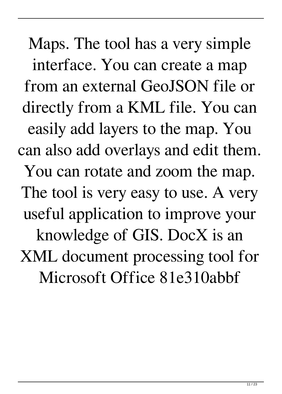Maps. The tool has a very simple interface. You can create a map from an external GeoJSON file or directly from a KML file. You can easily add layers to the map. You can also add overlays and edit them. You can rotate and zoom the map. The tool is very easy to use. A very useful application to improve your knowledge of GIS. DocX is an XML document processing tool for Microsoft Office 81e310abbf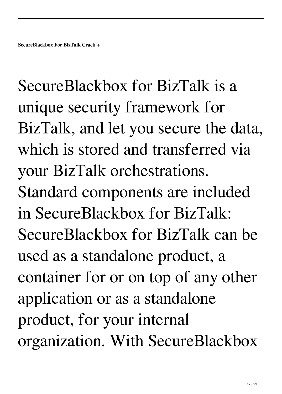SecureBlackbox for BizTalk is a unique security framework for BizTalk, and let you secure the data, which is stored and transferred via your BizTalk orchestrations. Standard components are included in SecureBlackbox for BizTalk: SecureBlackbox for BizTalk can be used as a standalone product, a container for or on top of any other application or as a standalone product, for your internal organization. With SecureBlackbox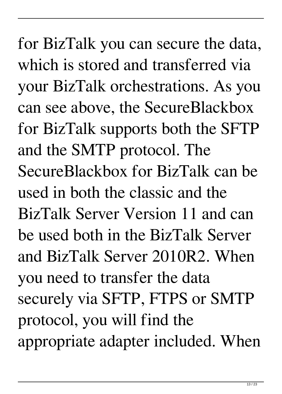for BizTalk you can secure the data, which is stored and transferred via your BizTalk orchestrations. As you can see above, the SecureBlackbox for BizTalk supports both the SFTP and the SMTP protocol. The SecureBlackbox for BizTalk can be used in both the classic and the BizTalk Server Version 11 and can be used both in the BizTalk Server and BizTalk Server 2010R2. When you need to transfer the data securely via SFTP, FTPS or SMTP protocol, you will find the appropriate adapter included. When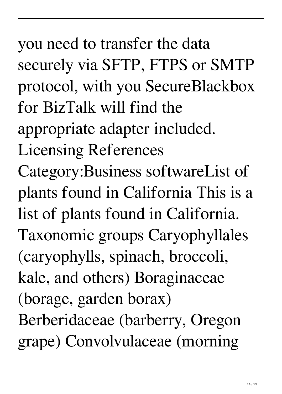you need to transfer the data securely via SFTP, FTPS or SMTP protocol, with you SecureBlackbox for BizTalk will find the appropriate adapter included. Licensing References Category:Business softwareList of plants found in California This is a list of plants found in California. Taxonomic groups Caryophyllales (caryophylls, spinach, broccoli, kale, and others) Boraginaceae (borage, garden borax) Berberidaceae (barberry, Oregon grape) Convolvulaceae (morning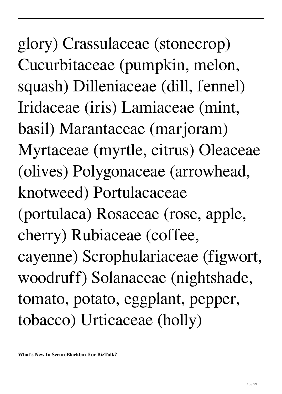glory) Crassulaceae (stonecrop) Cucurbitaceae (pumpkin, melon, squash) Dilleniaceae (dill, fennel) Iridaceae (iris) Lamiaceae (mint, basil) Marantaceae (marjoram) Myrtaceae (myrtle, citrus) Oleaceae (olives) Polygonaceae (arrowhead, knotweed) Portulacaceae (portulaca) Rosaceae (rose, apple, cherry) Rubiaceae (coffee, cayenne) Scrophulariaceae (figwort, woodruff) Solanaceae (nightshade, tomato, potato, eggplant, pepper, tobacco) Urticaceae (holly)

**What's New In SecureBlackbox For BizTalk?**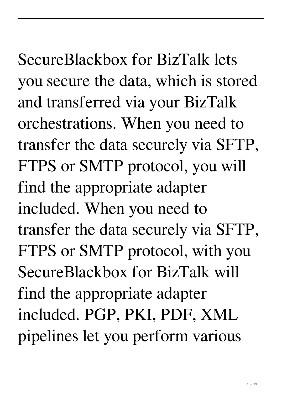SecureBlackbox for BizTalk lets you secure the data, which is stored and transferred via your BizTalk orchestrations. When you need to transfer the data securely via SFTP, FTPS or SMTP protocol, you will find the appropriate adapter included. When you need to transfer the data securely via SFTP, FTPS or SMTP protocol, with you SecureBlackbox for BizTalk will find the appropriate adapter included. PGP, PKI, PDF, XML pipelines let you perform various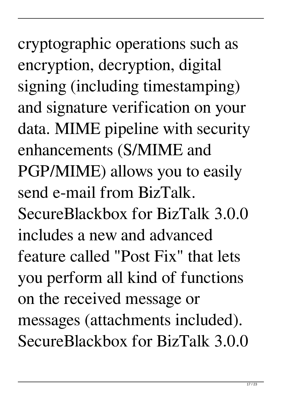cryptographic operations such as encryption, decryption, digital signing (including timestamping) and signature verification on your data. MIME pipeline with security enhancements (S/MIME and PGP/MIME) allows you to easily send e-mail from BizTalk. SecureBlackbox for BizTalk 3.0.0 includes a new and advanced feature called "Post Fix" that lets you perform all kind of functions on the received message or messages (attachments included). SecureBlackbox for BizTalk 3.0.0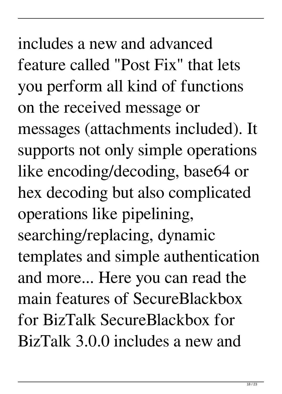includes a new and advanced feature called "Post Fix" that lets you perform all kind of functions on the received message or messages (attachments included). It supports not only simple operations like encoding/decoding, base64 or hex decoding but also complicated operations like pipelining, searching/replacing, dynamic templates and simple authentication and more... Here you can read the main features of SecureBlackbox for BizTalk SecureBlackbox for BizTalk 3.0.0 includes a new and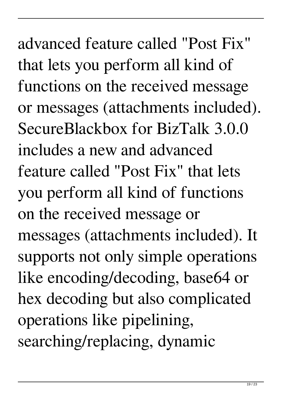advanced feature called "Post Fix" that lets you perform all kind of functions on the received message or messages (attachments included). SecureBlackbox for BizTalk 3.0.0 includes a new and advanced feature called "Post Fix" that lets you perform all kind of functions on the received message or messages (attachments included). It supports not only simple operations like encoding/decoding, base64 or hex decoding but also complicated operations like pipelining, searching/replacing, dynamic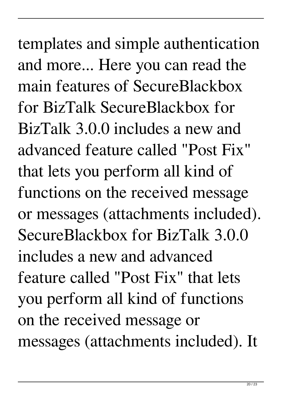templates and simple authentication and more... Here you can read the main features of SecureBlackbox for BizTalk SecureBlackbox for BizTalk 3.0.0 includes a new and advanced feature called "Post Fix" that lets you perform all kind of functions on the received message or messages (attachments included). SecureBlackbox for BizTalk 3.0.0 includes a new and advanced feature called "Post Fix" that lets you perform all kind of functions on the received message or messages (attachments included). It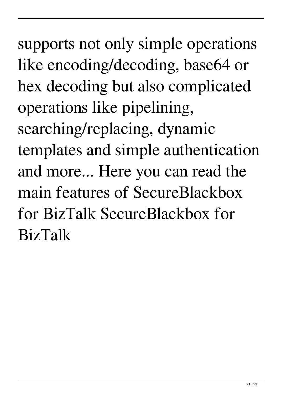supports not only simple operations like encoding/decoding, base64 or hex decoding but also complicated operations like pipelining, searching/replacing, dynamic templates and simple authentication and more... Here you can read the main features of SecureBlackbox for BizTalk SecureBlackbox for BizTalk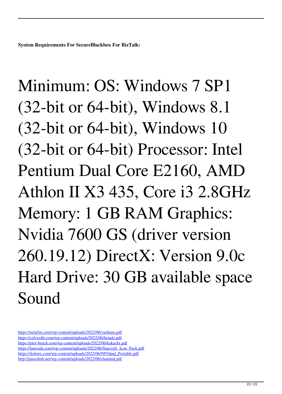**System Requirements For SecureBlackbox For BizTalk:**

Minimum: OS: Windows 7 SP1 (32-bit or 64-bit), Windows 8.1 (32-bit or 64-bit), Windows 10 (32-bit or 64-bit) Processor: Intel Pentium Dual Core E2160, AMD Athlon II X3 435, Core i3 2.8GHz Memory: 1 GB RAM Graphics: Nvidia 7600 GS (driver version 260.19.12) DirectX: Version 9.0c Hard Drive: 30 GB available space Sound

<https://netafits.com/wp-content/uploads/2022/06/ysehann.pdf> <https://cefcredit.com/wp-content/uploads/2022/06/henale.pdf> <https://pier-beach.com/wp-content/uploads/2022/06/kakachr.pdf> [https://lanesida.com/wp-content/uploads/2022/06/Starcraft\\_Icon\\_Pack.pdf](https://lanesida.com/wp-content/uploads/2022/06/Starcraft_Icon_Pack.pdf) [https://doitory.com/wp-content/uploads/2022/06/NFOpad\\_Portable.pdf](https://doitory.com/wp-content/uploads/2022/06/NFOpad_Portable.pdf) <http://pussyhub.net/wp-content/uploads/2022/06/chanmal.pdf>